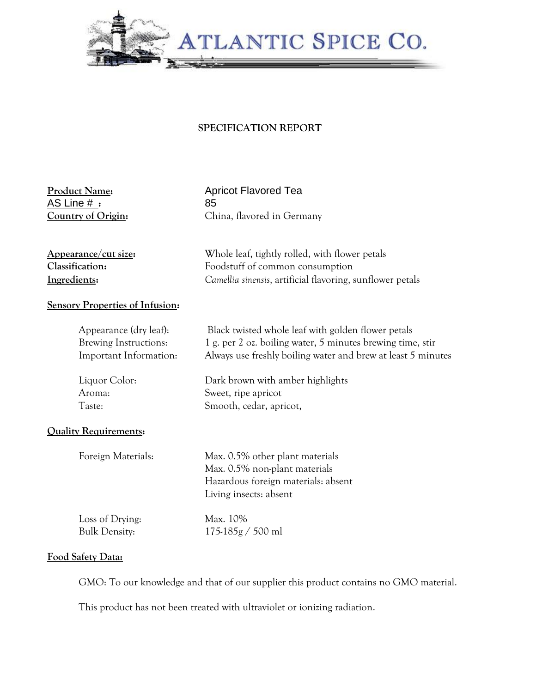

## **SPECIFICATION REPORT**

AS Line # **:** 85

**Product Name:** Apricot Flavored Tea **Country of Origin:** China, flavored in Germany

**Appearance/cut size:** Whole leaf, tightly rolled, with flower petals **Classification:** Foodstuff of common consumption **Ingredients:** *Camellia sinensis*, artificial flavoring, sunflower petals

## **Sensory Properties of Infusion:**

| Appearance (dry leaf):       | Black twisted whole leaf with golden flower petals                                                                                |
|------------------------------|-----------------------------------------------------------------------------------------------------------------------------------|
| Brewing Instructions:        | 1 g. per 2 oz. boiling water, 5 minutes brewing time, stir                                                                        |
| Important Information:       | Always use freshly boiling water and brew at least 5 minutes                                                                      |
| Liquor Color:                | Dark brown with amber highlights                                                                                                  |
| Aroma:                       | Sweet, ripe apricot                                                                                                               |
| Taste:                       | Smooth, cedar, apricot,                                                                                                           |
| <b>Quality Requirements:</b> |                                                                                                                                   |
| Foreign Materials:           | Max. 0.5% other plant materials<br>Max. 0.5% non-plant materials<br>Hazardous foreign materials: absent<br>Living insects: absent |
| Loss of Drying:              | Max. 10%                                                                                                                          |
| <b>Bulk Density:</b>         | $175-185g / 500$ ml                                                                                                               |

## **Food Safety Data:**

GMO: To our knowledge and that of our supplier this product contains no GMO material.

This product has not been treated with ultraviolet or ionizing radiation.